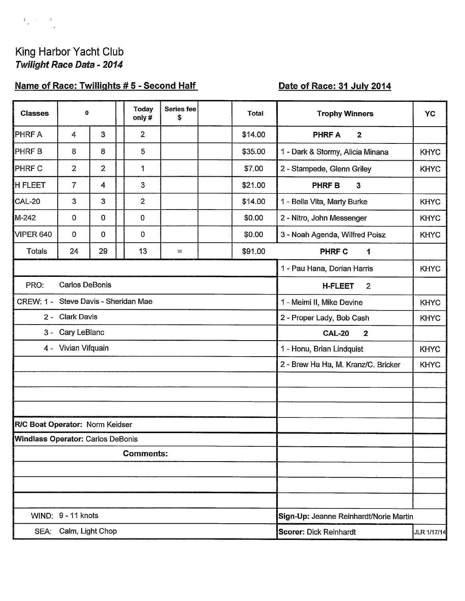### King Harbor Yacht Club Twilight Race Data - 2014

 $\frac{1}{\lambda} \frac{1}{\lambda} = \frac{1}{\lambda}$ 

# Name of Race: Twillights #5 - Second Half

# Date of Race: 31 July 2014

| <b>Classes</b>                                        | $\bf{0}$              |                |  | <b>Today</b><br>only# | <b>Series fee</b><br>\$                      |                                          | <b>Total</b> | <b>Trophy Winners</b>                      | <b>YC</b>   |  |  |
|-------------------------------------------------------|-----------------------|----------------|--|-----------------------|----------------------------------------------|------------------------------------------|--------------|--------------------------------------------|-------------|--|--|
| <b>PHRFA</b>                                          | 4                     | 3              |  | $\overline{2}$        |                                              |                                          | \$14.00      | <b>PHRF A</b><br>$\mathbf{2}$              |             |  |  |
| <b>PHRFB</b>                                          | 8                     | 8              |  | 5                     |                                              |                                          | \$35.00      | 1 - Dark & Stormy, Alicia Minana           | <b>KHYC</b> |  |  |
| <b>PHRF C</b>                                         | $\overline{2}$        | $\overline{2}$ |  | 1                     |                                              |                                          | \$7.00       | 2 - Stampede, Glenn Griley                 | <b>KHYC</b> |  |  |
| <b>H FLEET</b>                                        | $\overline{7}$        | $\overline{4}$ |  | 3                     |                                              |                                          | \$21.00      | <b>PHRF B</b><br>$\mathbf{3}$              |             |  |  |
| CAL-20                                                | 3                     | 3              |  | $\overline{2}$        |                                              |                                          | \$14.00      | 1 - Bella Vita, Marty Burke                | <b>KHYC</b> |  |  |
| M-242                                                 | 0                     | $\mathbf 0$    |  | 0                     |                                              |                                          | \$0.00       | 2 - Nitro, John Messenger                  | <b>KHYC</b> |  |  |
| VIPER 640                                             | $\overline{0}$        | $\pmb{0}$      |  | 0                     |                                              |                                          | \$0.00       | 3 - Noah Agenda, Wilfred Poisz             | <b>KHYC</b> |  |  |
| Totals                                                | 24                    | 29             |  | 13                    | $\equiv$                                     |                                          | \$91.00      | <b>PHRF C</b><br>1                         |             |  |  |
|                                                       |                       |                |  |                       |                                              |                                          |              | 1 - Pau Hana, Dorian Harris<br><b>KHYC</b> |             |  |  |
| PRO:                                                  | <b>Carlos DeBonis</b> |                |  |                       | <b>H-FLEET</b><br>$\overline{2}$             |                                          |              |                                            |             |  |  |
| CREW: 1 - Steve Davis - Sheridan Mae                  |                       |                |  |                       |                                              | 1 - Meimi II, Mike Devine<br><b>KHYC</b> |              |                                            |             |  |  |
|                                                       | 2 - Clark Davis       |                |  |                       | 2 - Proper Lady, Bob Cash<br><b>KHYC</b>     |                                          |              |                                            |             |  |  |
| 3 -                                                   | Cary LeBlanc          |                |  |                       |                                              |                                          |              | <b>CAL-20</b><br>$\mathbf{2}$              |             |  |  |
|                                                       | 4 - Vivian Vifquain   |                |  |                       | 1 - Honu, Brian Lindquist<br><b>KHYC</b>     |                                          |              |                                            |             |  |  |
|                                                       |                       |                |  |                       | 2 - Brew Ha Ha, M. Kranz/C. Bricker          | <b>KHYC</b>                              |              |                                            |             |  |  |
|                                                       |                       |                |  |                       |                                              |                                          |              |                                            |             |  |  |
|                                                       |                       |                |  |                       |                                              |                                          |              |                                            |             |  |  |
|                                                       |                       |                |  |                       |                                              |                                          |              |                                            |             |  |  |
| R/C Boat Operator: Norm Keidser                       |                       |                |  |                       |                                              |                                          |              |                                            |             |  |  |
| Windlass Operator: Carlos DeBonis<br><b>Comments:</b> |                       |                |  |                       |                                              |                                          |              |                                            |             |  |  |
|                                                       |                       |                |  |                       |                                              |                                          |              |                                            |             |  |  |
|                                                       |                       |                |  |                       |                                              |                                          |              |                                            |             |  |  |
|                                                       |                       |                |  |                       |                                              |                                          |              |                                            |             |  |  |
|                                                       | WIND: 9 - 11 knots    |                |  |                       | Sign-Up: Jeanne Reinhardt/Norie Martin       |                                          |              |                                            |             |  |  |
|                                                       | SEA: Calm, Light Chop |                |  |                       | <b>Scorer: Dick Reinhardt</b><br>JLR 1/17/14 |                                          |              |                                            |             |  |  |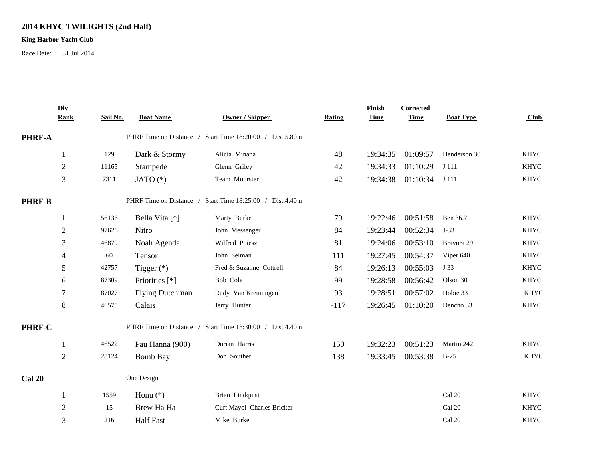#### **2014 KHYC TWILIGHTS (2nd Half)**

#### **King Harbor Yacht Club**

Race Date: 31 Jul 2014

|               | Div<br><b>Rank</b>       | Sail No. | <b>Boat Name</b>        | <b>Owner / Skipper</b>                                    | Rating | Finish<br><b>Time</b> | <b>Corrected</b><br><b>Time</b> | <b>Boat Type</b> | Club        |  |
|---------------|--------------------------|----------|-------------------------|-----------------------------------------------------------|--------|-----------------------|---------------------------------|------------------|-------------|--|
| PHRF-A        |                          |          |                         | PHRF Time on Distance / Start Time 18:20:00 / Dist.5.80 n |        |                       |                                 |                  |             |  |
|               | 1                        | 129      | Dark & Stormy           | Alicia Minana                                             | 48     | 19:34:35              | 01:09:57                        | Henderson 30     | <b>KHYC</b> |  |
|               | $\overline{2}$           | 11165    | Stampede                | Glenn Griley                                              | 42     | 19:34:33              | 01:10:29                        | J 111            | <b>KHYC</b> |  |
|               | 3                        | 7311     | JATO $(*)$              | Team Moorster                                             | 42     | 19:34:38              | 01:10:34                        | J 111            | <b>KHYC</b> |  |
| <b>PHRF-B</b> |                          |          | PHRF Time on Distance / | Start Time 18:25:00 / Dist.4.40 n                         |        |                       |                                 |                  |             |  |
|               | 1                        | 56136    | Bella Vita [*]          | Marty Burke                                               | 79     | 19:22:46              | 00:51:58                        | Ben 36.7         | <b>KHYC</b> |  |
|               | $\overline{2}$           | 97626    | Nitro                   | John Messenger                                            | 84     | 19:23:44              | 00:52:34                        | $J-33$           | <b>KHYC</b> |  |
|               | 3                        | 46879    | Noah Agenda             | Wilfred Poiesz                                            | 81     | 19:24:06              | 00:53:10                        | Bravura 29       | <b>KHYC</b> |  |
|               | $\overline{\mathcal{A}}$ | 60       | Tensor                  | John Selman                                               | 111    | 19:27:45              | 00:54:37                        | Viper 640        | <b>KHYC</b> |  |
|               | 5                        | 42757    | Tigger $(*)$            | Fred & Suzanne Cottrell                                   | 84     | 19:26:13              | 00:55:03                        | J 33             | <b>KHYC</b> |  |
|               | 6                        | 87309    | Priorities [*]          | Bob Cole                                                  | 99     | 19:28:58              | 00:56:42                        | Olson 30         | <b>KHYC</b> |  |
|               | $\tau$                   | 87027    | <b>Flying Dutchman</b>  | Rudy Van Kreuningen                                       | 93     | 19:28:51              | 00:57:02                        | Hobie 33         | <b>KHYC</b> |  |
|               | $\,$ 8 $\,$              | 46575    | Calais                  | Jerry Hunter                                              | $-117$ | 19:26:45              | 01:10:20                        | Dencho 33        | <b>KHYC</b> |  |
| PHRF-C        |                          |          | PHRF Time on Distance / | Start Time 18:30:00 / Dist.4.40 n                         |        |                       |                                 |                  |             |  |
|               |                          | 46522    | Pau Hanna (900)         | Dorian Harris                                             | 150    | 19:32:23              | 00:51:23                        | Martin 242       | <b>KHYC</b> |  |
|               | $\overline{2}$           | 28124    | <b>Bomb Bay</b>         | Don Souther                                               | 138    | 19:33:45              | 00:53:38                        | $B-25$           | <b>KHYC</b> |  |
| <b>Cal 20</b> |                          |          | One Design              |                                                           |        |                       |                                 |                  |             |  |
|               | 1                        | 1559     | Honu $(*)$              | Brian Lindquist                                           |        |                       |                                 | Cal 20           | <b>KHYC</b> |  |
|               | $\overline{c}$           | 15       | Brew Ha Ha              | Curt Mayol Charles Bricker                                |        |                       |                                 | Cal 20           | <b>KHYC</b> |  |
|               | 3                        | 216      | <b>Half Fast</b>        | Mike Burke                                                |        |                       |                                 | Cal 20           | <b>KHYC</b> |  |